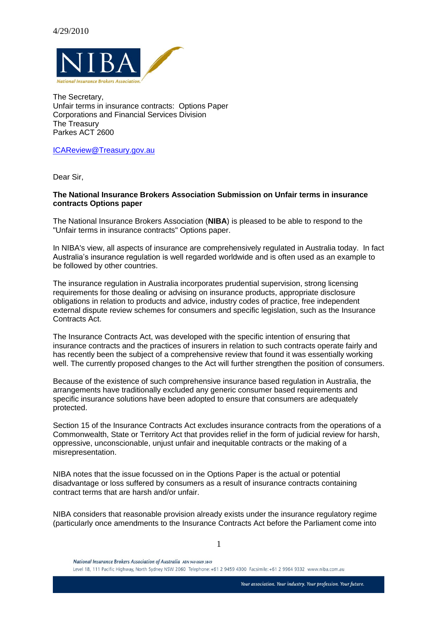

The Secretary, Unfair terms in insurance contracts: Options Paper Corporations and Financial Services Division The Treasury Parkes ACT 2600

[ICAReview@Treasury.gov.au](mailto:ICAReview@Treasury.gov.au)

Dear Sir,

#### **The National Insurance Brokers Association Submission on Unfair terms in insurance contracts Options paper**

The National Insurance Brokers Association (**NIBA**) is pleased to be able to respond to the "Unfair terms in insurance contracts" Options paper.

In NIBA's view, all aspects of insurance are comprehensively regulated in Australia today. In fact Australia's insurance regulation is well regarded worldwide and is often used as an example to be followed by other countries.

The insurance regulation in Australia incorporates prudential supervision, strong licensing requirements for those dealing or advising on insurance products, appropriate disclosure obligations in relation to products and advice, industry codes of practice, free independent external dispute review schemes for consumers and specific legislation, such as the Insurance Contracts Act.

The Insurance Contracts Act, was developed with the specific intention of ensuring that insurance contracts and the practices of insurers in relation to such contracts operate fairly and has recently been the subject of a comprehensive review that found it was essentially working well. The currently proposed changes to the Act will further strengthen the position of consumers.

Because of the existence of such comprehensive insurance based regulation in Australia, the arrangements have traditionally excluded any generic consumer based requirements and specific insurance solutions have been adopted to ensure that consumers are adequately protected.

Section 15 of the Insurance Contracts Act excludes insurance contracts from the operations of a Commonwealth, State or Territory Act that provides relief in the form of judicial review for harsh, oppressive, unconscionable, unjust unfair and inequitable contracts or the making of a misrepresentation.

NIBA notes that the issue focussed on in the Options Paper is the actual or potential disadvantage or loss suffered by consumers as a result of insurance contracts containing contract terms that are harsh and/or unfair.

NIBA considers that reasonable provision already exists under the insurance regulatory regime (particularly once amendments to the Insurance Contracts Act before the Parliament come into

1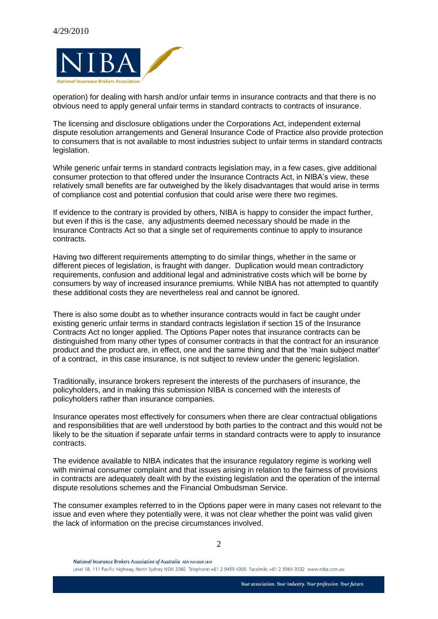

operation) for dealing with harsh and/or unfair terms in insurance contracts and that there is no obvious need to apply general unfair terms in standard contracts to contracts of insurance.

The licensing and disclosure obligations under the Corporations Act, independent external dispute resolution arrangements and General Insurance Code of Practice also provide protection to consumers that is not available to most industries subject to unfair terms in standard contracts legislation.

While generic unfair terms in standard contracts legislation may, in a few cases, give additional consumer protection to that offered under the Insurance Contracts Act, in NIBA's view, these relatively small benefits are far outweighed by the likely disadvantages that would arise in terms of compliance cost and potential confusion that could arise were there two regimes.

If evidence to the contrary is provided by others, NIBA is happy to consider the impact further, but even if this is the case, any adjustments deemed necessary should be made in the Insurance Contracts Act so that a single set of requirements continue to apply to insurance contracts.

Having two different requirements attempting to do similar things, whether in the same or different pieces of legislation, is fraught with danger. Duplication would mean contradictory requirements, confusion and additional legal and administrative costs which will be borne by consumers by way of increased insurance premiums. While NIBA has not attempted to quantify these additional costs they are nevertheless real and cannot be ignored.

There is also some doubt as to whether insurance contracts would in fact be caught under existing generic unfair terms in standard contracts legislation if section 15 of the Insurance Contracts Act no longer applied. The Options Paper notes that insurance contracts can be distinguished from many other types of consumer contracts in that the contract for an insurance product and the product are, in effect, one and the same thing and that the 'main subject matter' of a contract, in this case insurance, is not subject to review under the generic legislation.

Traditionally, insurance brokers represent the interests of the purchasers of insurance, the policyholders, and in making this submission NIBA is concerned with the interests of policyholders rather than insurance companies.

Insurance operates most effectively for consumers when there are clear contractual obligations and responsibilities that are well understood by both parties to the contract and this would not be likely to be the situation if separate unfair terms in standard contracts were to apply to insurance contracts.

The evidence available to NIBA indicates that the insurance regulatory regime is working well with minimal consumer complaint and that issues arising in relation to the fairness of provisions in contracts are adequately dealt with by the existing legislation and the operation of the internal dispute resolutions schemes and the Financial Ombudsman Service.

The consumer examples referred to in the Options paper were in many cases not relevant to the issue and even where they potentially were, it was not clear whether the point was valid given the lack of information on the precise circumstances involved.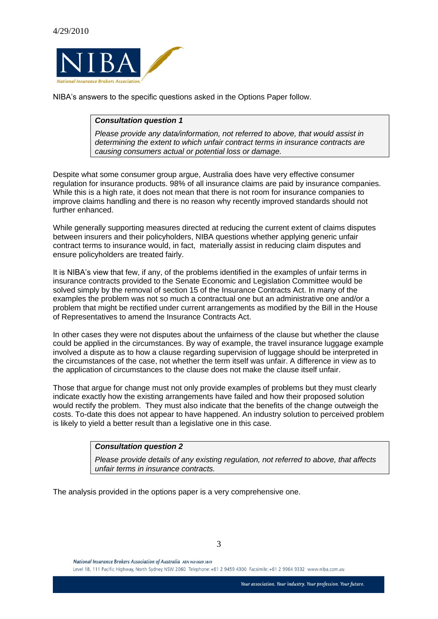

NIBA's answers to the specific questions asked in the Options Paper follow.

# *Consultation question 1*

*Please provide any data/information, not referred to above, that would assist in determining the extent to which unfair contract terms in insurance contracts are causing consumers actual or potential loss or damage.*

Despite what some consumer group argue, Australia does have very effective consumer regulation for insurance products. 98% of all insurance claims are paid by insurance companies. While this is a high rate, it does not mean that there is not room for insurance companies to improve claims handling and there is no reason why recently improved standards should not further enhanced.

While generally supporting measures directed at reducing the current extent of claims disputes between insurers and their policyholders, NIBA questions whether applying generic unfair contract terms to insurance would, in fact, materially assist in reducing claim disputes and ensure policyholders are treated fairly.

It is NIBA's view that few, if any, of the problems identified in the examples of unfair terms in insurance contracts provided to the Senate Economic and Legislation Committee would be solved simply by the removal of section 15 of the Insurance Contracts Act. In many of the examples the problem was not so much a contractual one but an administrative one and/or a problem that might be rectified under current arrangements as modified by the Bill in the House of Representatives to amend the Insurance Contracts Act.

In other cases they were not disputes about the unfairness of the clause but whether the clause could be applied in the circumstances. By way of example, the travel insurance luggage example involved a dispute as to how a clause regarding supervision of luggage should be interpreted in the circumstances of the case, not whether the term itself was unfair. A difference in view as to the application of circumstances to the clause does not make the clause itself unfair.

Those that argue for change must not only provide examples of problems but they must clearly indicate exactly how the existing arrangements have failed and how their proposed solution would rectify the problem. They must also indicate that the benefits of the change outweigh the costs. To-date this does not appear to have happened. An industry solution to perceived problem is likely to yield a better result than a legislative one in this case.

## *Consultation question 2*

*Please provide details of any existing regulation, not referred to above, that affects unfair terms in insurance contracts.*

The analysis provided in the options paper is a very comprehensive one.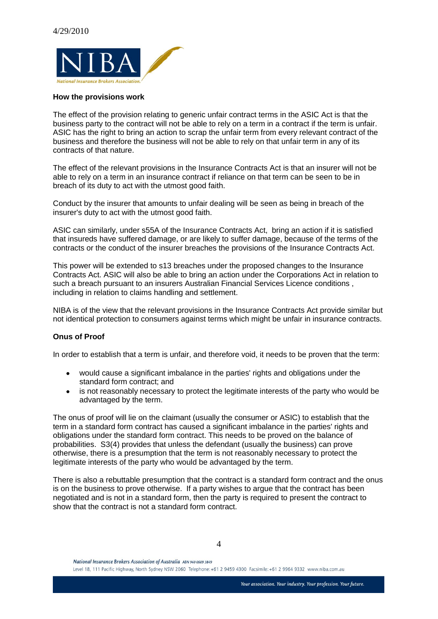

#### **How the provisions work**

The effect of the provision relating to generic unfair contract terms in the ASIC Act is that the business party to the contract will not be able to rely on a term in a contract if the term is unfair. ASIC has the right to bring an action to scrap the unfair term from every relevant contract of the business and therefore the business will not be able to rely on that unfair term in any of its contracts of that nature.

The effect of the relevant provisions in the Insurance Contracts Act is that an insurer will not be able to rely on a term in an insurance contract if reliance on that term can be seen to be in breach of its duty to act with the utmost good faith.

Conduct by the insurer that amounts to unfair dealing will be seen as being in breach of the insurer's duty to act with the utmost good faith.

ASIC can similarly, under s55A of the Insurance Contracts Act, bring an action if it is satisfied that insureds have suffered damage, or are likely to suffer damage, because of the terms of the contracts or the conduct of the insurer breaches the provisions of the Insurance Contracts Act.

This power will be extended to s13 breaches under the proposed changes to the Insurance Contracts Act. ASIC will also be able to bring an action under the Corporations Act in relation to such a breach pursuant to an insurers Australian Financial Services Licence conditions , including in relation to claims handling and settlement.

NIBA is of the view that the relevant provisions in the Insurance Contracts Act provide similar but not identical protection to consumers against terms which might be unfair in insurance contracts.

## **Onus of Proof**

In order to establish that a term is unfair, and therefore void, it needs to be proven that the term:

- would cause a significant imbalance in the parties' rights and obligations under the standard form contract; and
- is not reasonably necessary to protect the legitimate interests of the party who would be  $\bullet$ advantaged by the term.

The onus of proof will lie on the claimant (usually the consumer or ASIC) to establish that the term in a standard form contract has caused a significant imbalance in the parties' rights and obligations under the standard form contract. This needs to be proved on the balance of probabilities. S3(4) provides that unless the defendant (usually the business) can prove otherwise, there is a presumption that the term is not reasonably necessary to protect the legitimate interests of the party who would be advantaged by the term.

There is also a rebuttable presumption that the contract is a standard form contract and the onus is on the business to prove otherwise. If a party wishes to argue that the contract has been negotiated and is not in a standard form, then the party is required to present the contract to show that the contract is not a standard form contract.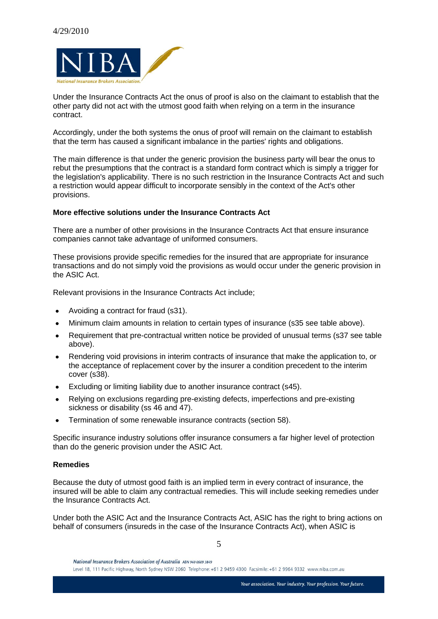

Under the Insurance Contracts Act the onus of proof is also on the claimant to establish that the other party did not act with the utmost good faith when relying on a term in the insurance contract.

Accordingly, under the both systems the onus of proof will remain on the claimant to establish that the term has caused a significant imbalance in the parties' rights and obligations.

The main difference is that under the generic provision the business party will bear the onus to rebut the presumptions that the contract is a standard form contract which is simply a trigger for the legislation's applicability. There is no such restriction in the Insurance Contracts Act and such a restriction would appear difficult to incorporate sensibly in the context of the Act's other provisions.

## **More effective solutions under the Insurance Contracts Act**

There are a number of other provisions in the Insurance Contracts Act that ensure insurance companies cannot take advantage of uniformed consumers.

These provisions provide specific remedies for the insured that are appropriate for insurance transactions and do not simply void the provisions as would occur under the generic provision in the ASIC Act.

Relevant provisions in the Insurance Contracts Act include;

- Avoiding a contract for fraud (s31).  $\bullet$
- Minimum claim amounts in relation to certain types of insurance (s35 see table above).  $\bullet$
- Requirement that pre-contractual written notice be provided of unusual terms (s37 see table  $\bullet$ above).
- $\bullet$ Rendering void provisions in interim contracts of insurance that make the application to, or the acceptance of replacement cover by the insurer a condition precedent to the interim cover (s38).
- Excluding or limiting liability due to another insurance contract (s45).  $\bullet$
- Relying on exclusions regarding pre-existing defects, imperfections and pre-existing  $\bullet$ sickness or disability (ss 46 and 47).
- Termination of some renewable insurance contracts (section 58).  $\bullet$

Specific insurance industry solutions offer insurance consumers a far higher level of protection than do the generic provision under the ASIC Act.

## **Remedies**

Because the duty of utmost good faith is an implied term in every contract of insurance, the insured will be able to claim any contractual remedies. This will include seeking remedies under the Insurance Contracts Act.

Under both the ASIC Act and the Insurance Contracts Act, ASIC has the right to bring actions on behalf of consumers (insureds in the case of the Insurance Contracts Act), when ASIC is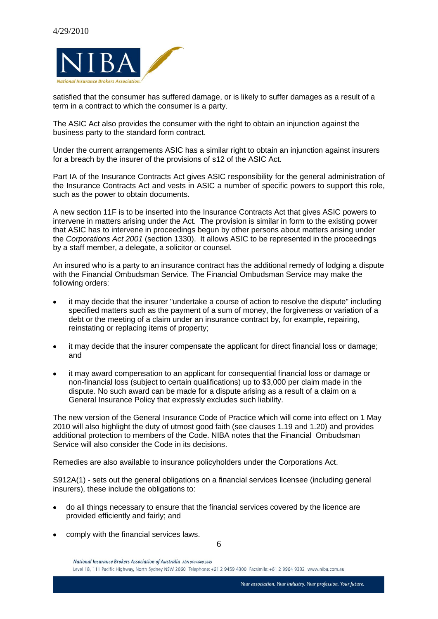

satisfied that the consumer has suffered damage, or is likely to suffer damages as a result of a term in a contract to which the consumer is a party.

The ASIC Act also provides the consumer with the right to obtain an injunction against the business party to the standard form contract.

Under the current arrangements ASIC has a similar right to obtain an injunction against insurers for a breach by the insurer of the provisions of s12 of the ASIC Act.

Part IA of the Insurance Contracts Act gives ASIC responsibility for the general administration of the Insurance Contracts Act and vests in ASIC a number of specific powers to support this role, such as the power to obtain documents.

A new section 11F is to be inserted into the Insurance Contracts Act that gives ASIC powers to intervene in matters arising under the Act. The provision is similar in form to the existing power that ASIC has to intervene in proceedings begun by other persons about matters arising under the *Corporations Act 2001* (section 1330). It allows ASIC to be represented in the proceedings by a staff member, a delegate, a solicitor or counsel.

An insured who is a party to an insurance contract has the additional remedy of lodging a dispute with the Financial Ombudsman Service. The Financial Ombudsman Service may make the following orders:

- it may decide that the insurer "undertake a course of action to resolve the dispute" including  $\bullet$ specified matters such as the payment of a sum of money, the forgiveness or variation of a debt or the meeting of a claim under an insurance contract by, for example, repairing, reinstating or replacing items of property;
- it may decide that the insurer compensate the applicant for direct financial loss or damage; and
- it may award compensation to an applicant for consequential financial loss or damage or non-financial loss (subject to certain qualifications) up to \$3,000 per claim made in the dispute. No such award can be made for a dispute arising as a result of a claim on a General Insurance Policy that expressly excludes such liability.

The new version of the General Insurance Code of Practice which will come into effect on 1 May 2010 will also highlight the duty of utmost good faith (see clauses 1.19 and 1.20) and provides additional protection to members of the Code. NIBA notes that the Financial Ombudsman Service will also consider the Code in its decisions.

Remedies are also available to insurance policyholders under the Corporations Act.

S912A(1) - sets out the general obligations on a financial services licensee (including general insurers), these include the obligations to:

- do all things necessary to ensure that the financial services covered by the licence are provided efficiently and fairly; and
- comply with the financial services laws.

National Insurance Brokers Association of Australia ABN 940 0609 3849 Level 18, 111 Pacific Highway, North Sydney NSW 2060 Telephone:+61 2 9459 4300 Facsimile:+61 2 9964 9332 www.niba.com.au

6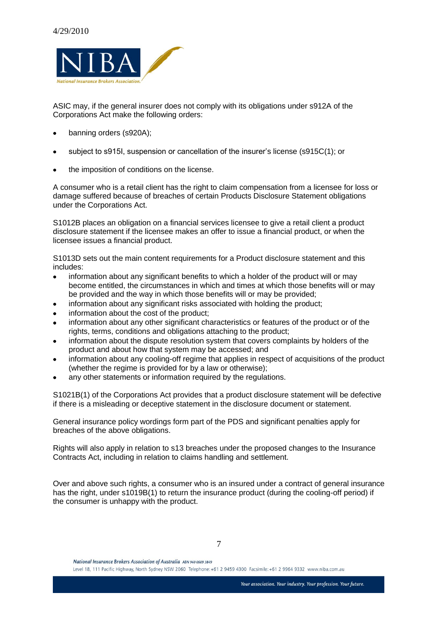

ASIC may, if the general insurer does not comply with its obligations under s912A of the Corporations Act make the following orders:

- banning orders (s920A);  $\bullet$
- subject to s915I, suspension or cancellation of the insurer's license (s915C(1); or
- the imposition of conditions on the license.

A consumer who is a retail client has the right to claim compensation from a licensee for loss or damage suffered because of breaches of certain Products Disclosure Statement obligations under the Corporations Act.

S1012B places an obligation on a financial services licensee to give a retail client a product disclosure statement if the licensee makes an offer to issue a financial product, or when the licensee issues a financial product.

S1013D sets out the main content requirements for a Product disclosure statement and this includes:

- information about any significant benefits to which a holder of the product will or may  $\bullet$ become entitled, the circumstances in which and times at which those benefits will or may be provided and the way in which those benefits will or may be provided;
- information about any significant risks associated with holding the product;  $\bullet$
- information about the cost of the product;
- information about any other significant characteristics or features of the product or of the  $\bullet$ rights, terms, conditions and obligations attaching to the product;
- information about the dispute resolution system that covers complaints by holders of the  $\bullet$ product and about how that system may be accessed; and
- information about any cooling-off regime that applies in respect of acquisitions of the product (whether the regime is provided for by a law or otherwise);
- any other statements or information required by the requiations.

S1021B(1) of the Corporations Act provides that a product disclosure statement will be defective if there is a misleading or deceptive statement in the disclosure document or statement.

General insurance policy wordings form part of the PDS and significant penalties apply for breaches of the above obligations.

Rights will also apply in relation to s13 breaches under the proposed changes to the Insurance Contracts Act, including in relation to claims handling and settlement.

Over and above such rights, a consumer who is an insured under a contract of general insurance has the right, under s1019B(1) to return the insurance product (during the cooling-off period) if the consumer is unhappy with the product.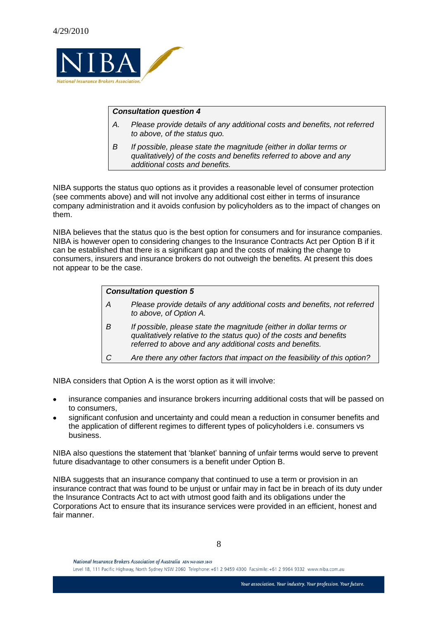

# *Consultation question 4*

- *A. Please provide details of any additional costs and benefits, not referred to above, of the status quo.*
- *B If possible, please state the magnitude (either in dollar terms or qualitatively) of the costs and benefits referred to above and any additional costs and benefits.*

NIBA supports the status quo options as it provides a reasonable level of consumer protection (see comments above) and will not involve any additional cost either in terms of insurance company administration and it avoids confusion by policyholders as to the impact of changes on them.

NIBA believes that the status quo is the best option for consumers and for insurance companies. NIBA is however open to considering changes to the Insurance Contracts Act per Option B if it can be established that there is a significant gap and the costs of making the change to consumers, insurers and insurance brokers do not outweigh the benefits. At present this does not appear to be the case.

| <b>Consultation question 5</b> |                                                                                                                                                                                                       |
|--------------------------------|-------------------------------------------------------------------------------------------------------------------------------------------------------------------------------------------------------|
|                                |                                                                                                                                                                                                       |
| A                              | Please provide details of any additional costs and benefits, not referred<br>to above, of Option A.                                                                                                   |
| B                              | If possible, please state the magnitude (either in dollar terms or<br>qualitatively relative to the status quo) of the costs and benefits<br>referred to above and any additional costs and benefits. |
|                                | Are there any other factors that impact on the feasibility of this option?                                                                                                                            |
|                                |                                                                                                                                                                                                       |

NIBA considers that Option A is the worst option as it will involve:

- insurance companies and insurance brokers incurring additional costs that will be passed on to consumers,
- significant confusion and uncertainty and could mean a reduction in consumer benefits and the application of different regimes to different types of policyholders i.e. consumers vs business.

NIBA also questions the statement that 'blanket' banning of unfair terms would serve to prevent future disadvantage to other consumers is a benefit under Option B.

NIBA suggests that an insurance company that continued to use a term or provision in an insurance contract that was found to be unjust or unfair may in fact be in breach of its duty under the Insurance Contracts Act to act with utmost good faith and its obligations under the Corporations Act to ensure that its insurance services were provided in an efficient, honest and fair manner.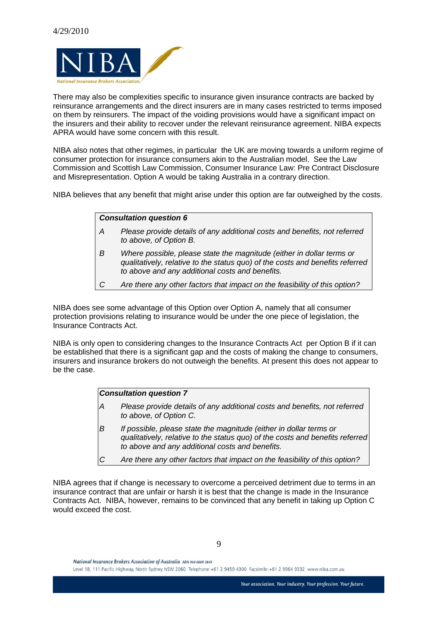

There may also be complexities specific to insurance given insurance contracts are backed by reinsurance arrangements and the direct insurers are in many cases restricted to terms imposed on them by reinsurers. The impact of the voiding provisions would have a significant impact on the insurers and their ability to recover under the relevant reinsurance agreement. NIBA expects APRA would have some concern with this result.

NIBA also notes that other regimes, in particular the UK are moving towards a uniform regime of consumer protection for insurance consumers akin to the Australian model. See the Law Commission and Scottish Law Commission, Consumer Insurance Law: Pre Contract Disclosure and Misrepresentation. Option A would be taking Australia in a contrary direction.

NIBA believes that any benefit that might arise under this option are far outweighed by the costs.

#### *Consultation question 6*

- *A Please provide details of any additional costs and benefits, not referred to above, of Option B.*
- *B Where possible, please state the magnitude (either in dollar terms or qualitatively, relative to the status quo) of the costs and benefits referred to above and any additional costs and benefits.*
- *C Are there any other factors that impact on the feasibility of this option?*

NIBA does see some advantage of this Option over Option A, namely that all consumer protection provisions relating to insurance would be under the one piece of legislation, the Insurance Contracts Act.

NIBA is only open to considering changes to the Insurance Contracts Act per Option B if it can be established that there is a significant gap and the costs of making the change to consumers, insurers and insurance brokers do not outweigh the benefits. At present this does not appear to be the case.

# *Consultation question 7*

- *A Please provide details of any additional costs and benefits, not referred to above, of Option C.*
- *B If possible, please state the magnitude (either in dollar terms or qualitatively, relative to the status quo) of the costs and benefits referred to above and any additional costs and benefits.*
- *C Are there any other factors that impact on the feasibility of this option?*

NIBA agrees that if change is necessary to overcome a perceived detriment due to terms in an insurance contract that are unfair or harsh it is best that the change is made in the Insurance Contracts Act. NIBA, however, remains to be convinced that any benefit in taking up Option C would exceed the cost.

9